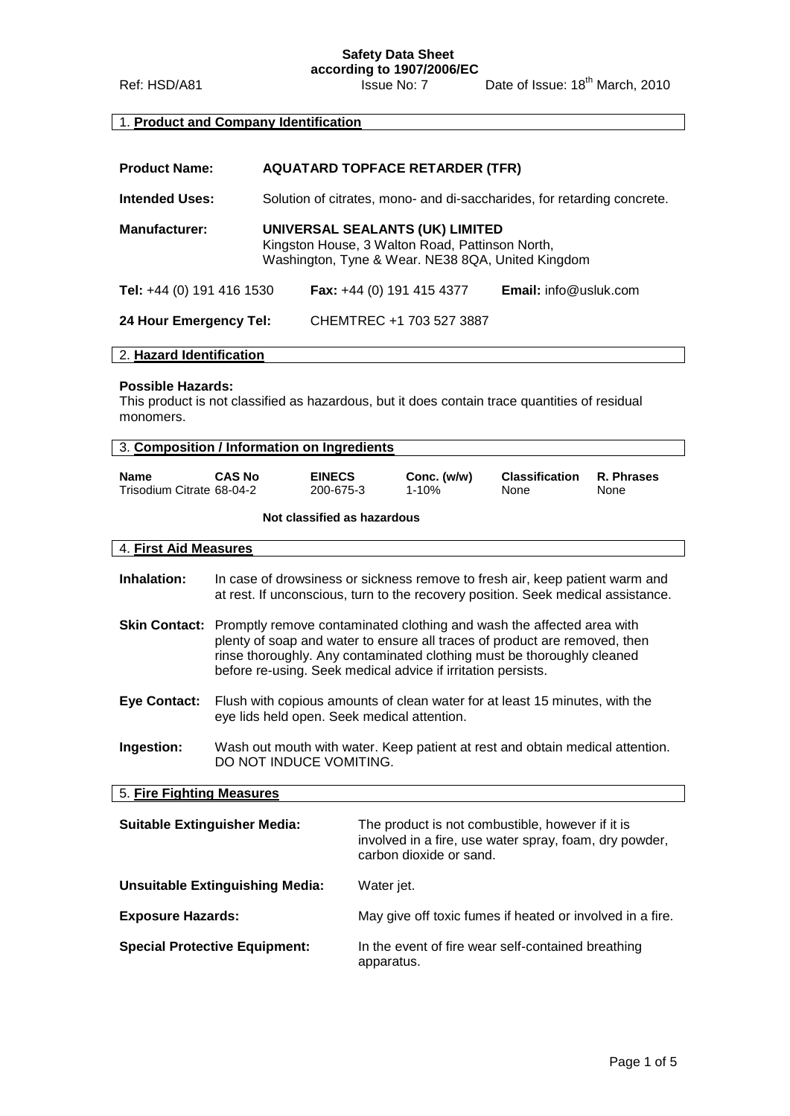**Safety Data Sheet**

**according to 1907/2006/EC** Ref: HSD/A81 Issue No: 7 Date of Issue: 18<sup>th</sup> March, 2010

### 1. **Product and Company Identification**

| <b>Product Name:</b>      | <b>AQUATARD TOPFACE RETARDER (TFR)</b>                                                                                                  |                                    |                              |  |
|---------------------------|-----------------------------------------------------------------------------------------------------------------------------------------|------------------------------------|------------------------------|--|
| <b>Intended Uses:</b>     | Solution of citrates, mono- and di-saccharides, for retarding concrete.                                                                 |                                    |                              |  |
| <b>Manufacturer:</b>      | UNIVERSAL SEALANTS (UK) LIMITED<br>Kingston House, 3 Walton Road, Pattinson North,<br>Washington, Tyne & Wear. NE38 8QA, United Kingdom |                                    |                              |  |
| Tel: +44 (0) 191 416 1530 |                                                                                                                                         | <b>Fax:</b> $+44$ (0) 191 415 4377 | <b>Email:</b> info@usluk.com |  |
| 24 Hour Emergency Tel:    |                                                                                                                                         | CHEMTREC +1 703 527 3887           |                              |  |

#### 2. **Hazard Identification**

#### **Possible Hazards:**

This product is not classified as hazardous, but it does contain trace quantities of residual monomers.

|                                          | 3. Composition / Information on Ingredients                                                                                                                                                                                                                                                                 |                             |                                                                                                                                                                  |                               |                    |
|------------------------------------------|-------------------------------------------------------------------------------------------------------------------------------------------------------------------------------------------------------------------------------------------------------------------------------------------------------------|-----------------------------|------------------------------------------------------------------------------------------------------------------------------------------------------------------|-------------------------------|--------------------|
| <b>Name</b><br>Trisodium Citrate 68-04-2 | <b>CAS No</b>                                                                                                                                                                                                                                                                                               | <b>EINECS</b><br>200-675-3  | Conc. (w/w)<br>$1 - 10%$                                                                                                                                         | <b>Classification</b><br>None | R. Phrases<br>None |
|                                          |                                                                                                                                                                                                                                                                                                             | Not classified as hazardous |                                                                                                                                                                  |                               |                    |
| 4. First Aid Measures                    |                                                                                                                                                                                                                                                                                                             |                             |                                                                                                                                                                  |                               |                    |
| Inhalation:                              |                                                                                                                                                                                                                                                                                                             |                             | In case of drowsiness or sickness remove to fresh air, keep patient warm and<br>at rest. If unconscious, turn to the recovery position. Seek medical assistance. |                               |                    |
|                                          | Skin Contact: Promptly remove contaminated clothing and wash the affected area with<br>plenty of soap and water to ensure all traces of product are removed, then<br>rinse thoroughly. Any contaminated clothing must be thoroughly cleaned<br>before re-using. Seek medical advice if irritation persists. |                             |                                                                                                                                                                  |                               |                    |
| <b>Eye Contact:</b>                      | Flush with copious amounts of clean water for at least 15 minutes, with the<br>eye lids held open. Seek medical attention.                                                                                                                                                                                  |                             |                                                                                                                                                                  |                               |                    |
| Ingestion:                               | Wash out mouth with water. Keep patient at rest and obtain medical attention.<br>DO NOT INDUCE VOMITING.                                                                                                                                                                                                    |                             |                                                                                                                                                                  |                               |                    |
| 5. Fire Fighting Measures                |                                                                                                                                                                                                                                                                                                             |                             |                                                                                                                                                                  |                               |                    |
|                                          | <b>Suitable Extinguisher Media:</b><br>The product is not combustible, however if it is<br>involved in a fire, use water spray, foam, dry powder,<br>carbon dioxide or sand.                                                                                                                                |                             |                                                                                                                                                                  |                               |                    |
|                                          | <b>Unsuitable Extinguishing Media:</b><br>Water jet.                                                                                                                                                                                                                                                        |                             |                                                                                                                                                                  |                               |                    |
| <b>Exposure Hazards:</b>                 | May give off toxic fumes if heated or involved in a fire.                                                                                                                                                                                                                                                   |                             |                                                                                                                                                                  |                               |                    |
|                                          | <b>Special Protective Equipment:</b><br>In the event of fire wear self-contained breathing<br>apparatus.                                                                                                                                                                                                    |                             |                                                                                                                                                                  |                               |                    |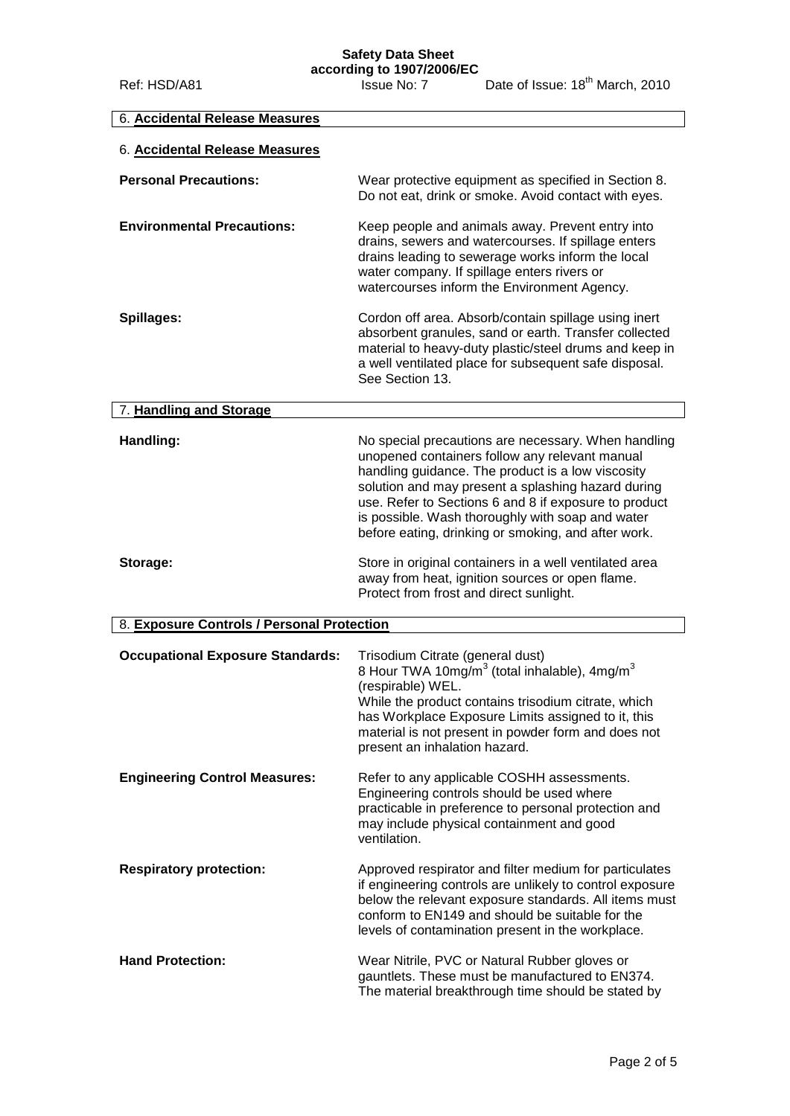**Safety Data Sheet**

| 6. Accidental Release Measures             |                                                                                                                                                                                                                                                                                                                                                                                      |
|--------------------------------------------|--------------------------------------------------------------------------------------------------------------------------------------------------------------------------------------------------------------------------------------------------------------------------------------------------------------------------------------------------------------------------------------|
| 6. Accidental Release Measures             |                                                                                                                                                                                                                                                                                                                                                                                      |
| <b>Personal Precautions:</b>               | Wear protective equipment as specified in Section 8.<br>Do not eat, drink or smoke. Avoid contact with eyes.                                                                                                                                                                                                                                                                         |
| <b>Environmental Precautions:</b>          | Keep people and animals away. Prevent entry into<br>drains, sewers and watercourses. If spillage enters<br>drains leading to sewerage works inform the local<br>water company. If spillage enters rivers or<br>watercourses inform the Environment Agency.                                                                                                                           |
| Spillages:                                 | Cordon off area. Absorb/contain spillage using inert<br>absorbent granules, sand or earth. Transfer collected<br>material to heavy-duty plastic/steel drums and keep in<br>a well ventilated place for subsequent safe disposal.<br>See Section 13.                                                                                                                                  |
| 7. Handling and Storage                    |                                                                                                                                                                                                                                                                                                                                                                                      |
| Handling:                                  | No special precautions are necessary. When handling<br>unopened containers follow any relevant manual<br>handling guidance. The product is a low viscosity<br>solution and may present a splashing hazard during<br>use. Refer to Sections 6 and 8 if exposure to product<br>is possible. Wash thoroughly with soap and water<br>before eating, drinking or smoking, and after work. |
| Storage:                                   | Store in original containers in a well ventilated area<br>away from heat, ignition sources or open flame.<br>Protect from frost and direct sunlight.                                                                                                                                                                                                                                 |
| 8. Exposure Controls / Personal Protection |                                                                                                                                                                                                                                                                                                                                                                                      |
| <b>Occupational Exposure Standards:</b>    | Trisodium Citrate (general dust)<br>8 Hour TWA 10mg/m <sup>3</sup> (total inhalable), 4mg/m <sup>3</sup><br>(respirable) WEL.<br>While the product contains trisodium citrate, which<br>has Workplace Exposure Limits assigned to it, this<br>material is not present in powder form and does not<br>present an inhalation hazard.                                                   |
| <b>Engineering Control Measures:</b>       | Refer to any applicable COSHH assessments.<br>Engineering controls should be used where<br>practicable in preference to personal protection and<br>may include physical containment and good<br>ventilation.                                                                                                                                                                         |
| <b>Respiratory protection:</b>             | Approved respirator and filter medium for particulates<br>if engineering controls are unlikely to control exposure<br>below the relevant exposure standards. All items must<br>conform to EN149 and should be suitable for the<br>levels of contamination present in the workplace.                                                                                                  |
| <b>Hand Protection:</b>                    | Wear Nitrile, PVC or Natural Rubber gloves or<br>gauntlets. These must be manufactured to EN374.<br>The material breakthrough time should be stated by                                                                                                                                                                                                                               |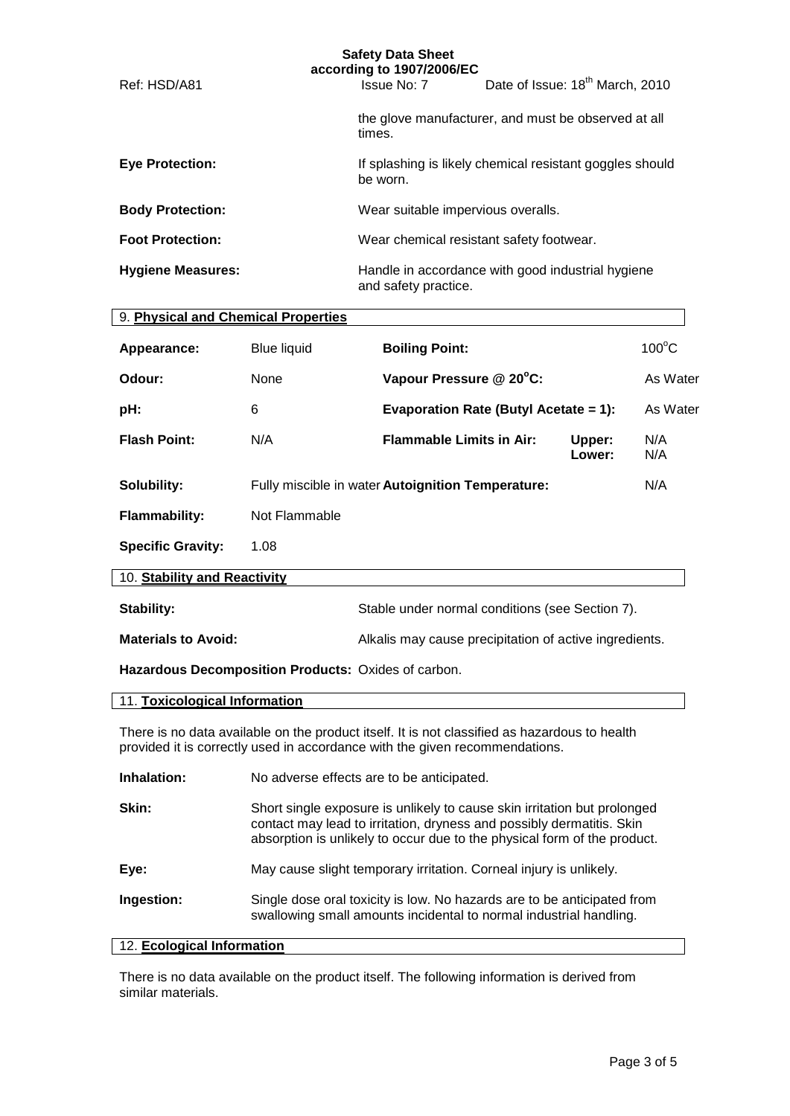| <b>Safety Data Sheet</b><br>according to 1907/2006/EC |                      |                                                          |  |  |  |
|-------------------------------------------------------|----------------------|----------------------------------------------------------|--|--|--|
| Ref: HSD/A81                                          | Issue No: 7          | Date of Issue: 18 <sup>th</sup> March, 2010              |  |  |  |
|                                                       | times.               | the glove manufacturer, and must be observed at all      |  |  |  |
| <b>Eye Protection:</b>                                | be worn.             | If splashing is likely chemical resistant goggles should |  |  |  |
| <b>Body Protection:</b>                               |                      | Wear suitable impervious overalls.                       |  |  |  |
| <b>Foot Protection:</b>                               |                      | Wear chemical resistant safety footwear.                 |  |  |  |
| <b>Hygiene Measures:</b>                              | and safety practice. | Handle in accordance with good industrial hygiene        |  |  |  |

| 9. Physical and Chemical Properties |                    |                                                   |                  |                 |
|-------------------------------------|--------------------|---------------------------------------------------|------------------|-----------------|
| Appearance:                         | <b>Blue liquid</b> | <b>Boiling Point:</b>                             |                  | $100^{\circ}$ C |
| Odour:                              | None               | Vapour Pressure @ 20°C:                           |                  | As Water        |
| pH:                                 | 6                  | Evaporation Rate (Butyl Acetate = 1):             |                  | As Water        |
| <b>Flash Point:</b>                 | N/A                | <b>Flammable Limits in Air:</b>                   | Upper:<br>Lower: | N/A<br>N/A      |
| Solubility:                         |                    | Fully miscible in water Autoignition Temperature: |                  | N/A             |
| <b>Flammability:</b>                | Not Flammable      |                                                   |                  |                 |
| <b>Specific Gravity:</b>            | 1.08               |                                                   |                  |                 |
| 10. Stability and Reactivity        |                    |                                                   |                  |                 |
| Stability:                          |                    | Stable under normal conditions (see Section 7).   |                  |                 |

| <b>Materials to Avoid:</b> | Alkalis may cause precipitation of active ingredients. |  |  |  |
|----------------------------|--------------------------------------------------------|--|--|--|

**Hazardous Decomposition Products:** Oxides of carbon.

#### 11. **Toxicological Information**

There is no data available on the product itself. It is not classified as hazardous to health provided it is correctly used in accordance with the given recommendations.

| Inhalation: | No adverse effects are to be anticipated. |
|-------------|-------------------------------------------|
|             |                                           |

| Skin: | Short single exposure is unlikely to cause skin irritation but prolonged |
|-------|--------------------------------------------------------------------------|
|       | contact may lead to irritation, dryness and possibly dermatitis. Skin    |
|       | absorption is unlikely to occur due to the physical form of the product. |
|       |                                                                          |

| May cause slight temporary irritation. Corneal injury is unlikely.<br>Eye: |  |
|----------------------------------------------------------------------------|--|
|----------------------------------------------------------------------------|--|

**Ingestion:** Single dose oral toxicity is low. No hazards are to be anticipated from swallowing small amounts incidental to normal industrial handling.

#### 12. **Ecological Information**

There is no data available on the product itself. The following information is derived from similar materials.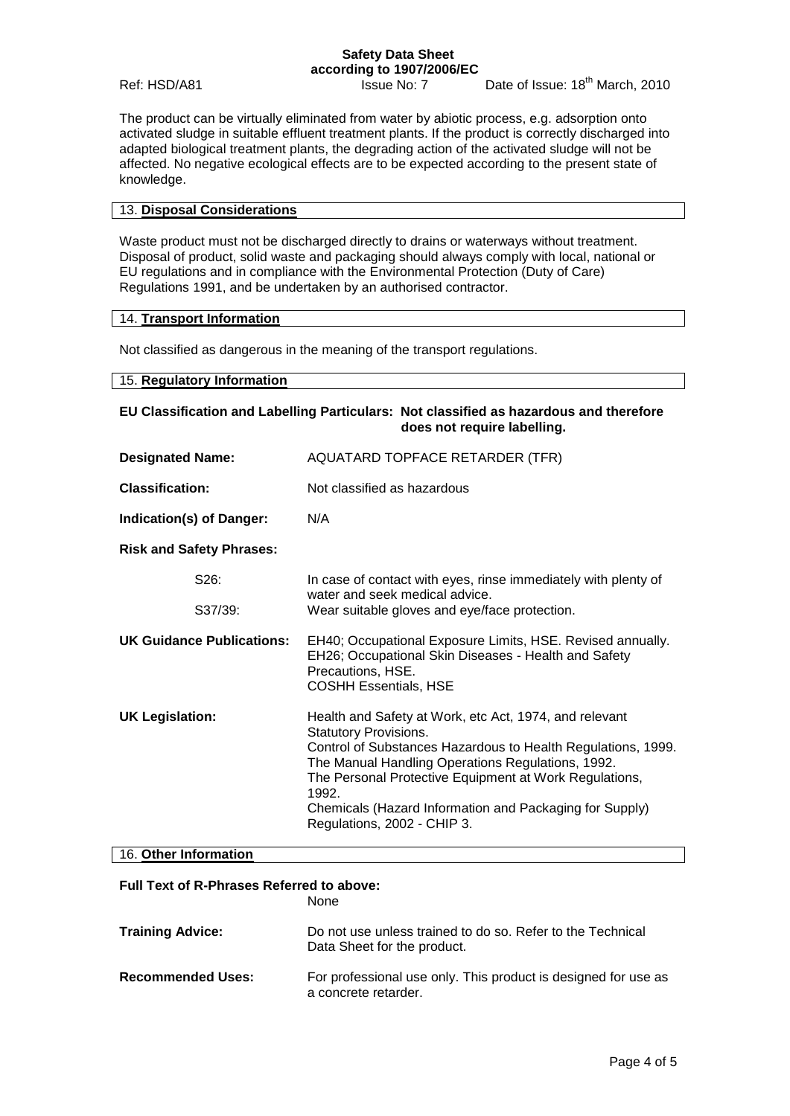# **Safety Data Sheet according to 1907/2006/EC**

Ref: HSD/A81 Issue No: 7 Date of Issue: 18<sup>th</sup> March, 2010

The product can be virtually eliminated from water by abiotic process, e.g. adsorption onto activated sludge in suitable effluent treatment plants. If the product is correctly discharged into adapted biological treatment plants, the degrading action of the activated sludge will not be affected. No negative ecological effects are to be expected according to the present state of knowledge.

#### 13. **Disposal Considerations**

Waste product must not be discharged directly to drains or waterways without treatment. Disposal of product, solid waste and packaging should always comply with local, national or EU regulations and in compliance with the Environmental Protection (Duty of Care) Regulations 1991, and be undertaken by an authorised contractor.

#### 14. **Transport Information**

Not classified as dangerous in the meaning of the transport regulations.

#### 15. **Regulatory Information**

| EU Classification and Labelling Particulars: Not classified as hazardous and therefore<br>does not require labelling. |                                                                                                                                                                                                                                                                                                                                                                          |  |  |
|-----------------------------------------------------------------------------------------------------------------------|--------------------------------------------------------------------------------------------------------------------------------------------------------------------------------------------------------------------------------------------------------------------------------------------------------------------------------------------------------------------------|--|--|
| <b>Designated Name:</b>                                                                                               | AQUATARD TOPFACE RETARDER (TFR)                                                                                                                                                                                                                                                                                                                                          |  |  |
| <b>Classification:</b>                                                                                                | Not classified as hazardous                                                                                                                                                                                                                                                                                                                                              |  |  |
| Indication(s) of Danger:                                                                                              | N/A                                                                                                                                                                                                                                                                                                                                                                      |  |  |
| <b>Risk and Safety Phrases:</b>                                                                                       |                                                                                                                                                                                                                                                                                                                                                                          |  |  |
| S26:                                                                                                                  | In case of contact with eyes, rinse immediately with plenty of<br>water and seek medical advice.                                                                                                                                                                                                                                                                         |  |  |
| S37/39:                                                                                                               | Wear suitable gloves and eye/face protection.                                                                                                                                                                                                                                                                                                                            |  |  |
| <b>UK Guidance Publications:</b>                                                                                      | EH40; Occupational Exposure Limits, HSE. Revised annually.<br>EH26; Occupational Skin Diseases - Health and Safety<br>Precautions, HSE.<br><b>COSHH Essentials, HSE</b>                                                                                                                                                                                                  |  |  |
| <b>UK Legislation:</b>                                                                                                | Health and Safety at Work, etc Act, 1974, and relevant<br><b>Statutory Provisions.</b><br>Control of Substances Hazardous to Health Regulations, 1999.<br>The Manual Handling Operations Regulations, 1992.<br>The Personal Protective Equipment at Work Regulations,<br>1992.<br>Chemicals (Hazard Information and Packaging for Supply)<br>Regulations, 2002 - CHIP 3. |  |  |

## 16. **Other Information**

#### **Full Text of R-Phrases Referred to above:** None

|                          | inone.                                                                                    |
|--------------------------|-------------------------------------------------------------------------------------------|
| <b>Training Advice:</b>  | Do not use unless trained to do so. Refer to the Technical<br>Data Sheet for the product. |
| <b>Recommended Uses:</b> | For professional use only. This product is designed for use as<br>a concrete retarder.    |